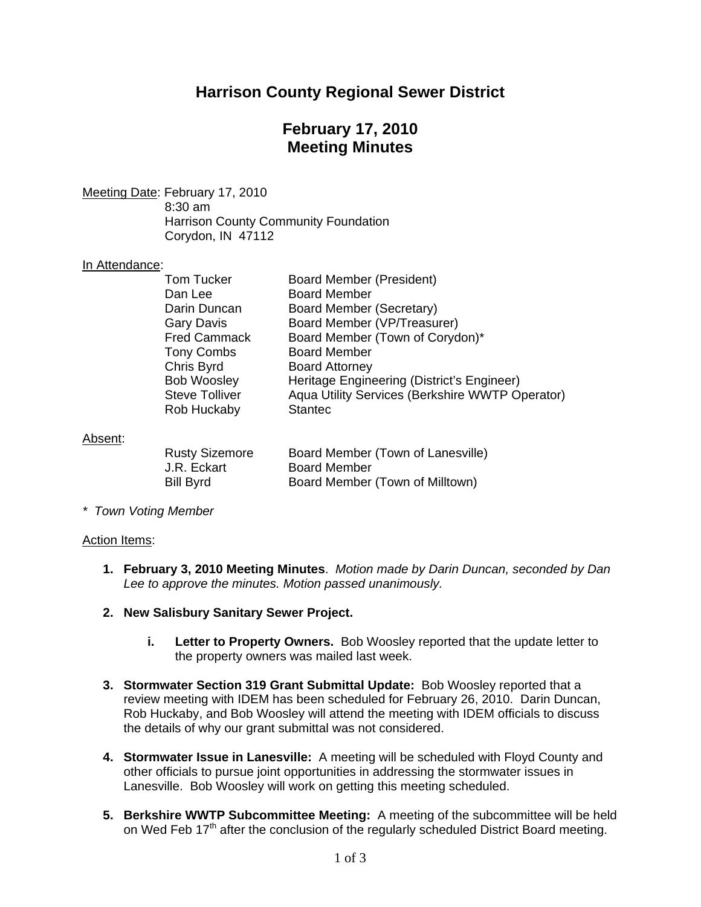## **Harrison County Regional Sewer District**

## **February 17, 2010 Meeting Minutes**

Meeting Date: February 17, 2010 8:30 am Harrison County Community Foundation Corydon, IN 47112

#### In Attendance:

| Tom Tucker            | Board Member (President)                        |
|-----------------------|-------------------------------------------------|
|                       |                                                 |
| Dan Lee               | <b>Board Member</b>                             |
| Darin Duncan          | Board Member (Secretary)                        |
| <b>Gary Davis</b>     | Board Member (VP/Treasurer)                     |
| <b>Fred Cammack</b>   | Board Member (Town of Corydon)*                 |
| <b>Tony Combs</b>     | <b>Board Member</b>                             |
| Chris Byrd            | <b>Board Attorney</b>                           |
| <b>Bob Woosley</b>    | Heritage Engineering (District's Engineer)      |
| <b>Steve Tolliver</b> | Aqua Utility Services (Berkshire WWTP Operator) |
| Rob Huckaby           | <b>Stantec</b>                                  |
|                       |                                                 |

#### Absent:

| <b>Rusty Sizemore</b> | Board Member (Town of Lanesville) |
|-----------------------|-----------------------------------|
| J.R. Eckart           | <b>Board Member</b>               |
| Bill Byrd             | Board Member (Town of Milltown)   |

*\* Town Voting Member* 

#### Action Items:

- **1. February 3, 2010 Meeting Minutes**. *Motion made by Darin Duncan, seconded by Dan Lee to approve the minutes. Motion passed unanimously.*
- **2. New Salisbury Sanitary Sewer Project.** 
	- **i. Letter to Property Owners.** Bob Woosley reported that the update letter to the property owners was mailed last week.
- **3. Stormwater Section 319 Grant Submittal Update:** Bob Woosley reported that a review meeting with IDEM has been scheduled for February 26, 2010. Darin Duncan, Rob Huckaby, and Bob Woosley will attend the meeting with IDEM officials to discuss the details of why our grant submittal was not considered.
- **4. Stormwater Issue in Lanesville:** A meeting will be scheduled with Floyd County and other officials to pursue joint opportunities in addressing the stormwater issues in Lanesville. Bob Woosley will work on getting this meeting scheduled.
- **5. Berkshire WWTP Subcommittee Meeting:** A meeting of the subcommittee will be held on Wed Feb 17<sup>th</sup> after the conclusion of the regularly scheduled District Board meeting.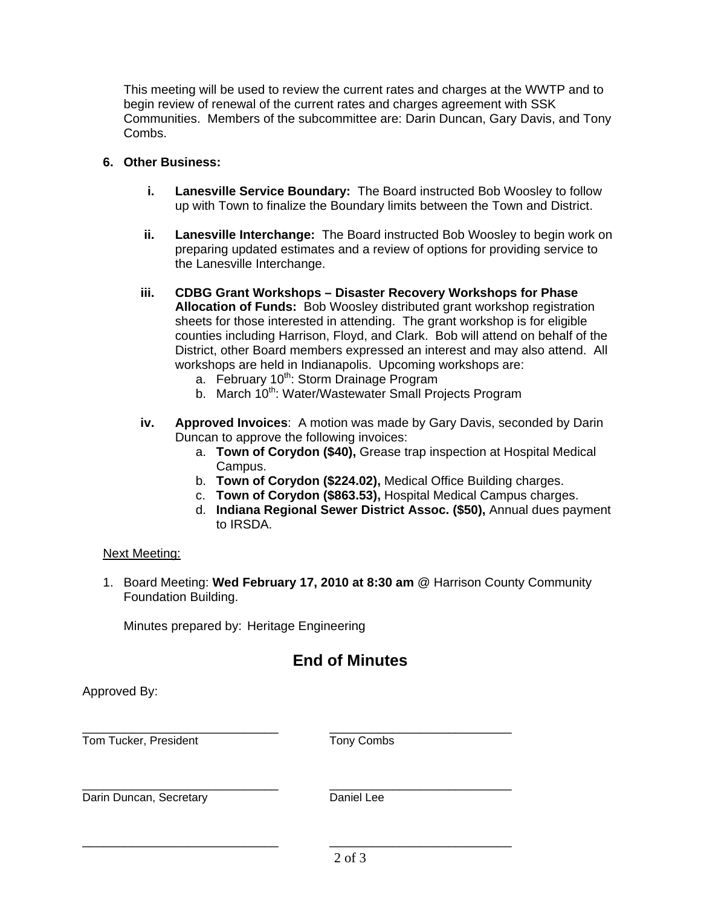This meeting will be used to review the current rates and charges at the WWTP and to begin review of renewal of the current rates and charges agreement with SSK Communities. Members of the subcommittee are: Darin Duncan, Gary Davis, and Tony Combs.

### **6. Other Business:**

- **i. Lanesville Service Boundary:** The Board instructed Bob Woosley to follow up with Town to finalize the Boundary limits between the Town and District.
- **ii. Lanesville Interchange:** The Board instructed Bob Woosley to begin work on preparing updated estimates and a review of options for providing service to the Lanesville Interchange.
- **iii. CDBG Grant Workshops – Disaster Recovery Workshops for Phase Allocation of Funds:** Bob Woosley distributed grant workshop registration sheets for those interested in attending. The grant workshop is for eligible counties including Harrison, Floyd, and Clark. Bob will attend on behalf of the District, other Board members expressed an interest and may also attend. All workshops are held in Indianapolis. Upcoming workshops are:
	- a. February 10<sup>th</sup>: Storm Drainage Program
	- b. March 10<sup>th</sup>: Water/Wastewater Small Projects Program
- **iv. Approved Invoices**: A motion was made by Gary Davis, seconded by Darin Duncan to approve the following invoices:
	- a. **Town of Corydon (\$40),** Grease trap inspection at Hospital Medical Campus.
	- b. **Town of Corydon (\$224.02),** Medical Office Building charges.
	- c. **Town of Corydon (\$863.53),** Hospital Medical Campus charges.
	- d. **Indiana Regional Sewer District Assoc. (\$50),** Annual dues payment to IRSDA.

#### Next Meeting:

Approved By:

1. Board Meeting: **Wed February 17, 2010 at 8:30 am** @ Harrison County Community Foundation Building.

Minutes prepared by: Heritage Engineering

# **End of Minutes**

| Tom Tucker, President   | Tony Combs |
|-------------------------|------------|
| Darin Duncan, Secretary | Daniel Lee |
|                         | 2 of 3     |